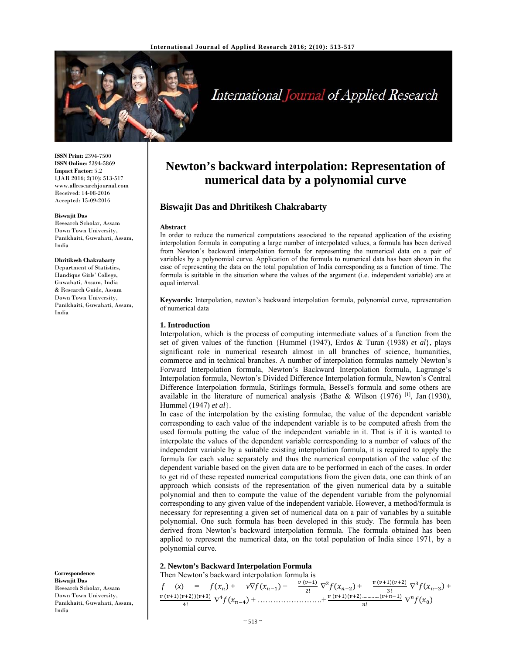

# International Journal of Applied Research

**ISSN Print:** 2394-7500 **ISSN Online:** 2394-5869 **Impact Factor:** 5.2 IJAR 2016; 2(10): 513-517 www.allresearchjournal.com Received: 14-08-2016 Accepted: 15-09-2016

#### **Biswajit Das**

Research Scholar, Assam Down Town University, Panikhaiti, Guwahati, Assam, India

#### **Dhritikesh Chakrabarty**

Department of Statistics, Handique Girls' College, Guwahati, Assam, India & Research Guide, Assam Down Town University, Panikhaiti, Guwahati, Assam, India

**Correspondence Biswajit Das**  Research Scholar, Assam Down Town University, Panikhaiti, Guwahati, Assam, India

## **Newton's backward interpolation: Representation of numerical data by a polynomial curve**

## **Biswajit Das and Dhritikesh Chakrabarty**

#### **Abstract**

In order to reduce the numerical computations associated to the repeated application of the existing interpolation formula in computing a large number of interpolated values, a formula has been derived from Newton's backward interpolation formula for representing the numerical data on a pair of variables by a polynomial curve. Application of the formula to numerical data has been shown in the case of representing the data on the total population of India corresponding as a function of time. The formula is suitable in the situation where the values of the argument (i.e. independent variable) are at equal interval.

**Keywords:** Interpolation, newton's backward interpolation formula, polynomial curve, representation of numerical data

#### **1. Introduction**

Interpolation, which is the process of computing intermediate values of a function from the set of given values of the function {Hummel (1947), Erdos & Turan (1938) *et al*}, plays significant role in numerical research almost in all branches of science, humanities, commerce and in technical branches. A number of interpolation formulas namely Newton's Forward Interpolation formula, Newton's Backward Interpolation formula, Lagrange's Interpolation formula, Newton's Divided Difference Interpolation formula, Newton's Central Difference Interpolation formula, Stirlings formula, Bessel's formula and some others are available in the literature of numerical analysis {Bathe & Wilson (1976) <sup>[1]</sup>, Jan (1930), Hummel (1947) *et al*}.

In case of the interpolation by the existing formulae, the value of the dependent variable corresponding to each value of the independent variable is to be computed afresh from the used formula putting the value of the independent variable in it. That is if it is wanted to interpolate the values of the dependent variable corresponding to a number of values of the independent variable by a suitable existing interpolation formula, it is required to apply the formula for each value separately and thus the numerical computation of the value of the dependent variable based on the given data are to be performed in each of the cases. In order to get rid of these repeated numerical computations from the given data, one can think of an approach which consists of the representation of the given numerical data by a suitable polynomial and then to compute the value of the dependent variable from the polynomial corresponding to any given value of the independent variable. However, a method/formula is necessary for representing a given set of numerical data on a pair of variables by a suitable polynomial. One such formula has been developed in this study. The formula has been derived from Newton's backward interpolation formula. The formula obtained has been applied to represent the numerical data, on the total population of India since 1971, by a polynomial curve.

#### **2. Newton's Backward Interpolation Formula**  Then Newton's backward interpolation formula is

 $f(x) = f(x_n) + v \nabla f(x_{n-1}) + \frac{v(v+1)}{2!} \nabla^2 f(x_{n-2}) + \frac{v(v+1)(v+2)}{3!} \nabla^3 f(x_{n-3}) +$  $v (v+1)(v+2))(v+3)$  $\frac{\partial^{(n+2)}(v+3)}{\partial x^2} \nabla^4 f(x_{n-4}) + \dots + \frac{\partial^{(n+1)(v+2)\dots(\nu+n-1)}}{\partial x^2} \nabla^n f(x_0)$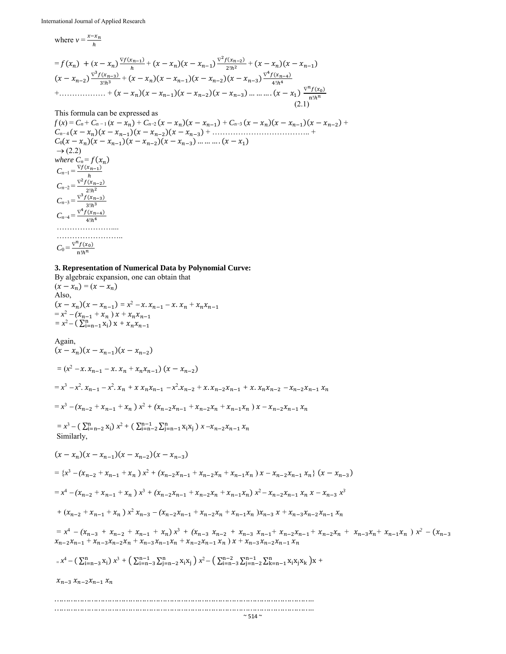where  $v = \frac{x - x_n}{h}$ 

$$
= f(x_n) + (x - x_n)^{\frac{\nabla f(x_{n-1})}{h}} + (x - x_n)(x - x_{n-1})^{\frac{\nabla^2 f(x_{n-2})}{2!h^2}} + (x - x_n)(x - x_{n-1})
$$
  
\n
$$
(x - x_{n-2})^{\frac{\nabla^3 f(x_{n-3})}{3!h^3}} + (x - x_n)(x - x_{n-1})(x - x_{n-2})(x - x_{n-3})^{\frac{\nabla^4 f(x_{n-4})}{4!h^4}}
$$
  
\n
$$
+ \dots + (x - x_n)(x - x_{n-1})(x - x_{n-2})(x - x_{n-3}) \dots \dots \dots (x - x_1)^{\frac{\nabla^n f(x_0)}{n!h^n}}
$$
  
\n(2.1)

## This formula can be expressed as

 $f(x) = C_n + C_{n-1}(x - x_n) + C_{n-2}(x - x_n)(x - x_{n-1}) + C_{n-3}(x - x_n)(x - x_{n-1})(x - x_{n-2}) +$ *Cn* <sup>4</sup>ሺݔെݔሻሺݔെݔିଵሻሺݔെݔିଶሻሺݔെݔିଷሻ + ……………………………….. +  $C_0(x-x_n)(x-x_{n-1})(x-x_{n-2})(x-x_{n-3})$  … … ….  $(x-x_1)$  $\rightarrow$  (2.2) *where*  $C_n = f(x_n)$  $C_{n-1} = \frac{\nabla f(x_{n-1})}{\nabla f(x_{n-1})}$  $C_{n-2} = \frac{\nabla^2 f(x_{n-2})}{2h}$  $C_{n-3} = \frac{\nabla^3 f(x_{n-3})}{2!h^3}$  $C_{n-4} = \frac{\nabla^4 f(x_{n-4})}{4 \cdot h^4}$  $4!h<sup>4</sup>$ ………………………… ……………………………  $C_0 = \frac{\nabla^n f(x_0)}{n}$  $n!h^n$ 

## **3. Representation of Numerical Data by Polynomial Curve:**

By algebraic expansion, one can obtain that  $(x - x_n) = (x - x_n)$ Also,  $(x - x_n)(x - x_{n-1}) = x^2 - x \cdot x_{n-1} - x \cdot x_n + x_n x_{n-1}$  $= x^2 - (x_{n-1} + x_n) x + x_n x_{n-1}$  $= x^2 - (\sum_{i=n-1}^n x_i)x + x_n x_{n-1}$ Again,  $(x-x_n)(x-x_{n-1})(x-x_{n-2})$  $= (x^2 - x_1 x_{n-1} - x_1 x_n + x_n x_{n-1}) (x - x_{n-2})$  $= x^3 - x^2. x_{n-1} - x^2. x_n + x x_n x_{n-1} - x^2. x_{n-2} + x. x_{n-2} x_{n-1} + x. x_n x_{n-2} - x_{n-2} x_{n-1} x_n$  $= x^3 - (x_{n-2} + x_{n-1} + x_n) x^2 + (x_{n-2}x_{n-1} + x_{n-2}x_n + x_{n-1}x_n) x - x_{n-2}x_{n-1}x_n$  $x^3 - (\sum_{i=n-2}^n x_i) x^2 + (\sum_{i=n-2}^{n-1} \sum_{j=n-1}^n x_i x_j) x - x_{n-2} x_{n-1} x_n$  Similarly,  $(x-x_n)(x-x_{n-1})(x-x_{n-2})(x-x_{n-3})$  $=\left\{x^3 - (x_{n-2} + x_{n-1} + x_n)x^2 + (x_{n-2}x_{n-1} + x_{n-2}x_n + x_{n-1}x_n)x - x_{n-2}x_{n-1}x_n\right\}(x - x_{n-3})$  $= x^4 - (x_{n-2} + x_{n-1} + x_n) x^3 + (x_{n-2}x_{n-1} + x_{n-2}x_n + x_{n-1}x_n) x^2 - x_{n-2}x_{n-1}x_n x - x_{n-3}x^3$  $x_1 + (x_{n-2} + x_{n-1} + x_n)x^2 x_{n-3} - (x_{n-2}x_{n-1} + x_{n-2}x_n + x_{n-1}x_n)x_{n-3} x + x_{n-3}x_{n-2}x_{n-1} x_n$  $= x^4 - (x_{n-3} + x_{n-2} + x_{n-1} + x_n)x^3 + (x_{n-3}x_{n-2} + x_{n-3}x_{n-1} + x_{n-2}x_{n-1} + x_{n-2}x_n + x_{n-3}x_n + x_{n-1}x_n)x^2 - (x_{n-3}x_{n-1} + x_{n-2}x_{n-1} + x_{n-3}x_n + x_{n-1}x_n)x^3$  $x_{n-2}x_{n-1} + x_{n-3}x_{n-2}x_n + x_{n-3}x_{n-1}x_n + x_{n-2}x_{n-1}x_n$  )  $x + x_{n-3}x_{n-2}x_{n-1}x_n$  $x^4 - (\sum_{i=n-3}^{n} x_i) x^3 + (\sum_{i=n-3}^{n-1} \sum_{j=n-2}^{n} x_i x_j) x^2 - (\sum_{i=n-3}^{n-2} \sum_{j=n-2}^{n-1} \sum_{k=n-1}^{n} x_i x_j x_k) x +$  $x_{n-3}$   $x_{n-2}$  $x_{n-1}$   $x_n$ *…………………………………………………………………………………………………..*

*…………………………………………………………………………………………………..*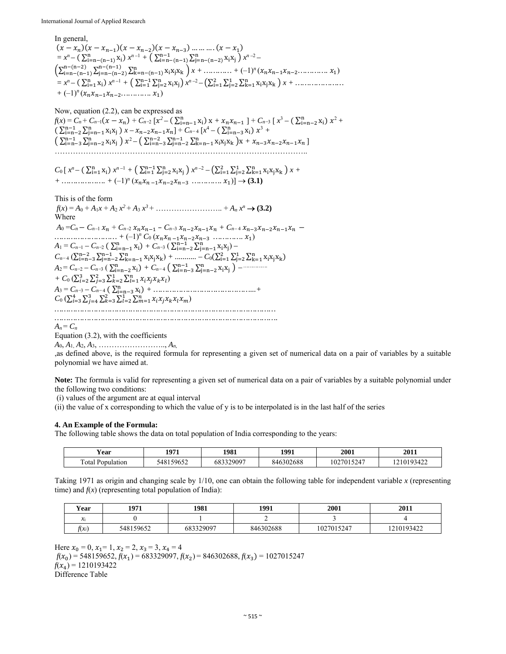International Journal of Applied Research

In general,  $(x-x_n)(x-x_{n-1})(x-x_{n-2})(x-x_{n-3})$  … … ….  $(x-x_1)$  $= x^n - \left( \sum_{i=n-(n-1)}^n x_i \right) x^{n-1} + \left( \sum_{i=n-(n-1)}^{n-1} \sum_{j=n-(n-2)}^n x_i x_j \right) x^{n-2} \left( \sum_{i=n-(n-1)}^{n-(n-2)} \sum_{i=n-(n-2)}^{n-(n-1)} \sum_{k=n-(n-1)}^{n} x_i x_j x_k \right) x + \dots + (-1)^n (x_n x_{n-1} x_{n-2} \dots \dots \dots \dots x_1)$  $x^n - \left( \sum_{i=1}^n x_i \right) x^{n-1} + \left( \sum_{i=1}^{n-1} \sum_{j=2}^n x_i x_j \right) x^{n-2} - \left( \sum_{i=1}^2 \sum_{j=2}^n \sum_{k=1}^n x_i x_j x_k \right) x + \dots$  $+(-1)^n (x_n x_{n-1} x_{n-2} \dots x_1)$ 

Now, equation (2.2), can be expressed as  $f(x) = C_n + C_{n-1}(x - x_n) + C_{n-2} [x^2 - (\sum_{i=n-1}^n x_i) x + x_n x_{n-1}] + C_{n-3} [x^3 - (\sum_{i=n-2}^n x_i) x^2 +$  $\left( \sum_{i=n-2}^{n-1} \sum_{j=n-1}^{n} x_i x_j \right) x - x_{n-2} x_{n-1} x_n + C_{n-4} [x^4 - (\sum_{i=n-3}^{n} x_i) x^3 +$  $\left( \sum_{i=n-3}^{n-1} \sum_{j=n-2}^{n} x_i x_j \right) x^2 - \left( \sum_{i=n-3}^{n-2} \sum_{j=n-2}^{n-1} \sum_{k=n-1}^{n} x_i x_j x_k \right) x + x_{n-3} x_{n-2} x_{n-1} x_n$ ……………………………………………………………………………………..

$$
C_0[x^n - (\sum_{i=1}^n x_i) x^{n-1} + (\sum_{i=1}^{n-1} \sum_{j=2}^n x_i x_j) x^{n-2} - (\sum_{i=1}^2 \sum_{j=2}^1 \sum_{k=1}^n x_i x_j x_k) x + \dots + (-1)^n (x_n x_{n-1} x_{n-2} x_{n-3} \dots \dots \dots \dots x_1)] \rightarrow (3.1)
$$

This is of the form  $f(x) = A_0 + A_1x + A_2x^2 + A_3x^3 + \dots + A_nx^n \rightarrow (3.2)$ Where  $A_0 = C_n - C_{n-1} x_n + C_{n-2} x_n x_{n-1} - C_{n-3} x_{n-2} x_{n-1} x_n + C_{n-4} x_{n-3} x_{n-2} x_{n-1} x_n$  $\dots \dots \dots \dots \dots \dots \dots + (-1)^n C_0 (x_n x_{n-1} x_{n-2} x_{n-3} \dots \dots \dots \dots \dots x_1)$  $A_1 = C_{n-1} - C_{n-2} (\sum_{i=n-1}^n x_i) + C_{n-3} (\sum_{i=n-2}^{n-1} \sum_{j=n-1}^n x_i x_j) C_{n-4}$  ( $\sum_{i=n-3}^{n-2} \sum_{j=n-2}^{n-1} \sum_{k=n-1}^{n} x_i x_j x_k$ ) + ............ –  $C_0(\sum_{i=1}^{2} \sum_{j=2}^{1} \sum_{k=1}^{n} x_i x_j x_k)$ *A*2 = *Cn*<sup>2</sup> *– Cn*<sup>3</sup> ( ∑ x୧ <sup>୬</sup> ୧ୀ୬ିଶ ሻ *+ Cn* <sup>4</sup> ൫ ∑ ∑ x୧x୨ <sup>୬</sup> ୨ୀ୬ିଶ ୬ିଵ ୧ୀ୬ିଷ ൯ *…………….* +  $C_0 \left( \sum_{i=2}^3 \sum_{j=3}^2 \sum_{k=2}^1 \sum_{l=1}^n x_i x_j x_k x_l \right)$  $A_3 = C_{n-3} - C_{n-4} (\sum_{i=n-3}^{n} x_i) + \dots +$  $C_0 \left( \sum_{i=3}^4 \sum_{j=4}^3 \sum_{k=3}^2 \sum_{l=2}^1 \sum_{m=1}^n x_i x_j x_k x_l x_m \right)$ *……………………………………………………………………………………*

*…………………………………………………………………………………….*

 $A_n = C_n$ 

Equation (3.2), with the coefficients

*A*0, *A*1, *A*2, *A*3, …………………….., *An,*

,as defined above, is the required formula for representing a given set of numerical data on a pair of variables by a suitable polynomial we have aimed at.

**Note:** The formula is valid for representing a given set of numerical data on a pair of variables by a suitable polynomial under the following two conditions:

(i) values of the argument are at equal interval

(ii) the value of x corresponding to which the value of y is to be interpolated is in the last half of the series

## **4. An Example of the Formula:**

The following table shows the data on total population of India corresponding to the years:

| ′ear<br>.        | 1971      | 1981      | 1991      | 2001       | 2011      |
|------------------|-----------|-----------|-----------|------------|-----------|
| Total Population | 548159652 | 683329097 | 846302688 | 1027015247 | 210193422 |

Taking 1971 as origin and changing scale by 1/10, one can obtain the following table for independent variable *x* (representing time) and  $f(x)$  (representing total population of India):

| Year     | 1971      | 1981             | 1991      | 2001       | 2011       |
|----------|-----------|------------------|-----------|------------|------------|
| ื∼า      |           |                  |           |            |            |
| $t(x_i)$ | 548159652 | 683329097<br>DÕ. | 846302688 | 1027015247 | 1210193422 |

Here  $x_0 = 0$ ,  $x_1 = 1$ ,  $x_2 = 2$ ,  $x_3 = 3$ ,  $x_4 = 4$  $f(x_0) = 548159652, f(x_1) = 683329097, f(x_2) = 846302688, f(x_3) = 1027015247$  $f(x_4) = 1210193422$ Difference Table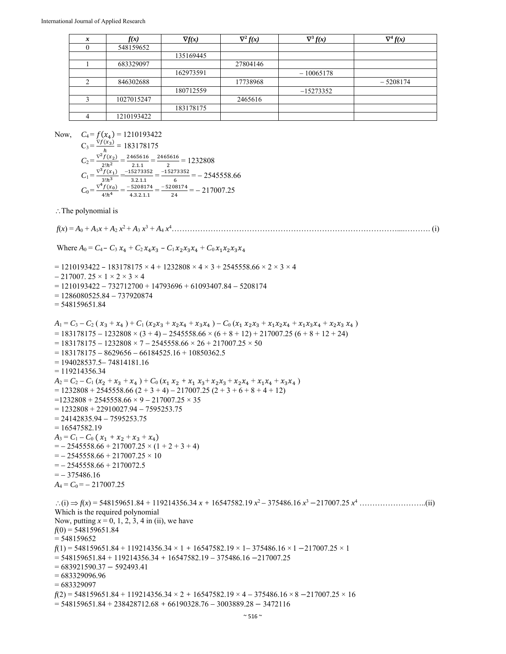| x | f(x)       | $\nabla f(x)$ | $\nabla^2 f(x)$ | $\nabla^3 f(x)$ | $\nabla^4 f(x)$ |
|---|------------|---------------|-----------------|-----------------|-----------------|
|   | 548159652  |               |                 |                 |                 |
|   |            | 135169445     |                 |                 |                 |
|   | 683329097  |               | 27804146        |                 |                 |
|   |            | 162973591     |                 | $-10065178$     |                 |
| ◠ | 846302688  |               | 17738968        |                 | $-5208174$      |
|   |            | 180712559     |                 | $-15273352$     |                 |
|   | 1027015247 |               | 2465616         |                 |                 |
|   |            | 183178175     |                 |                 |                 |
|   | 1210193422 |               |                 |                 |                 |

Now,  $C_4 = f(x_4) = 1210193422$ 

$$
C_3 = \frac{\nabla f(x_3)}{h} = 183178175
$$
  
\n
$$
C_2 = \frac{\nabla^2 f(x_2)}{2!h^2} = \frac{2465616}{2!h^1} = \frac{2465616}{2} = 1232808
$$
  
\n
$$
C_1 = \frac{\nabla^3 f(x_1)}{3!h^3} = \frac{-15273352}{3!2!h^1} = \frac{-15273352}{6} = -2545558.66
$$
  
\n
$$
C_0 = \frac{\nabla^4 f(x_0)}{4!h^4} = \frac{-5208174}{43.2.1.1} = \frac{-5208174}{24} = -217007.25
$$

 $\therefore$  The polynomial is

Where  $A_0 = C_4 - C_3 x_4 + C_2 x_4 x_3 - C_1 x_2 x_3 x_4 + C_0 x_1 x_2 x_3 x_4$  $= 1210193422 - 183178175 \times 4 + 1232808 \times 4 \times 3 + 2545558.66 \times 2 \times 3 \times 4$  $-217007.25 \times 1 \times 2 \times 3 \times 4$  $= 1210193422 - 732712700 + 14793696 + 61093407.84 - 5208174$  $= 1286080525.84 - 737920874$ = 548159651.84  $A_1 = C_3 - C_2 (x_3 + x_4) + C_1 (x_2 x_3 + x_2 x_4 + x_3 x_4) - C_0 (x_1 x_2 x_3 + x_1 x_2 x_4 + x_1 x_3 x_4 + x_2 x_3 x_4)$  $= 183178175 - 1232808 \times (3 + 4) - 2545558.66 \times (6 + 8 + 12) + 217007.25 (6 + 8 + 12 + 24)$  $= 183178175 - 1232808 \times 7 - 2545558.66 \times 26 + 217007.25 \times 50$  $= 183178175 - 8629656 - 66184525.16 + 10850362.5$  $= 194028537.5 - 74814181.16$  $= 119214356.34$  $A_2 = C_2 - C_1 (x_2 + x_3 + x_4) + C_0 (x_1 x_2 + x_1 x_3 + x_2 x_3 + x_2 x_4 + x_1 x_4 + x_3 x_4)$  $= 1232808 + 2545558.66 (2 + 3 + 4) - 217007.25 (2 + 3 + 6 + 8 + 4 + 12)$  $=1232808 + 2545558.66 \times 9 - 217007.25 \times 35$ 

*f*(*x*) = *A*0 + *A*1*x* + *A*2 *x*<sup>2</sup> + *A*<sup>3</sup> *x*<sup>3</sup> + *A*<sup>4</sup> *x*<sup>4</sup> ……………………………………………………………………………....………. (i)

 $= 1232808 + 22910027.94 - 7595253.75$  $= 24142835.94 - 7595253.75$ 

 $= 16547582.19$ 

 $A_3 = C_1 - C_0 (x_1 + x_2 + x_3 + x_4)$  $=$   $- 2545558.66 + 217007.25 \times (1 + 2 + 3 + 4)$ 

 $=$   $- 2545558.66 + 217007.25 \times 10$ 

 $=- 2545558.66 + 2170072.5$ 

 $=-375486.16$ 

 $A_4 = C_0 = -217007.25$  $\therefore$  (i)  $\Rightarrow$   $f(x) = 548159651.84 + 119214356.34 x + 16547582.19 x^2 - 375486.16 x^3 - 217007.25 x^4$  … Which is the required polynomial Now, putting *x* = 0, 1, 2, 3, 4 in (ii), we have *f*(0) = 548159651.84  $= 548159652$  $f(1) = 548159651.84 + 119214356.34 \times 1 + 16547582.19 \times 1 - 375486.16 \times 1 - 217007.25 \times 1$  $= 548159651.84 + 119214356.34 + 16547582.19 - 375486.16 - 217007.25$ 

 $= 683921590.37 - 592493.41$ 

 $= 683329096.96$ 

 $= 683329097$ 

 $f(2) = 548159651.84 + 119214356.34 \times 2 + 16547582.19 \times 4 - 375486.16 \times 8 - 217007.25 \times 16$ 

 $= 548159651.84 + 238428712.68 + 66190328.76 - 3003889.28 - 3472116$